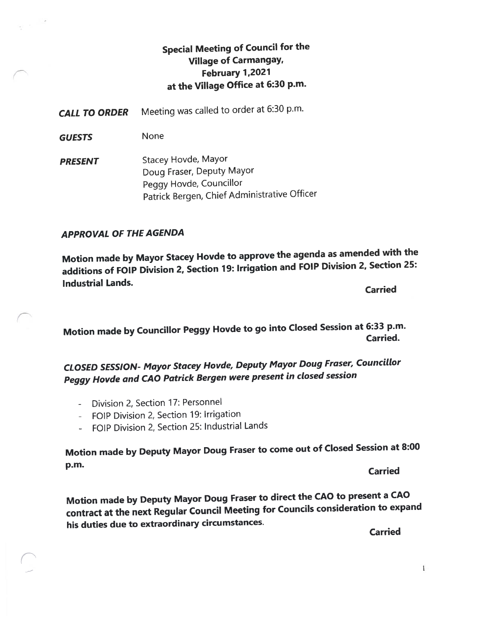## Special Meeting of Council for the Village of Carmangay, February 1,2021 at the Village Office at 6:30 p.m.

CALL TO ORDER Meeting was called to order at 6:30 p.m.

GUESTS None

**PRESENT** Stacey Hovde, Mayor Doug Fraser, Deputy Mayor Peggy Hovde, Councillor Patrick Bergen, Chief Administrative Officer

## APPROVAL OF THE AGENDA

Motion made by Mayor Stacey Hovde to approve the agenda as amended with the additions of FOIP Division 2, Section 19: Irrigation and FOIP Division 2, Section 25: Industrial Lands.

Carried

Motion made by Councillor Peggy Hovde to go into Closed Session at 6:33 p.m. Carried.

CLOSED SESSION- Mayor Stacey Hovde, Deputy Mayor Doug Fraser, Councillor Peggy Hovde and CAO Patrick Bergen were presen<sup>t</sup> in closed session

- Division 2, Section 17: Personnel
- FOIP Division 2, Section 19: Irrigation
- FOIP Division 2, Section 25: Industrial Lands

Motion made by Deputy Mayor Doug Fraser to come out of Closed Session at 8:00 p.m.

**Carried** 

Motion made by Deputy Mayor Doug Fraser to direct the CAO to presen<sup>t</sup> <sup>a</sup> CAO contract at the next Regular Council Meeting for Councils consideration to expan<sup>d</sup> his duties due to extraordinary circumstances.

Carried

 $\bf{l}$